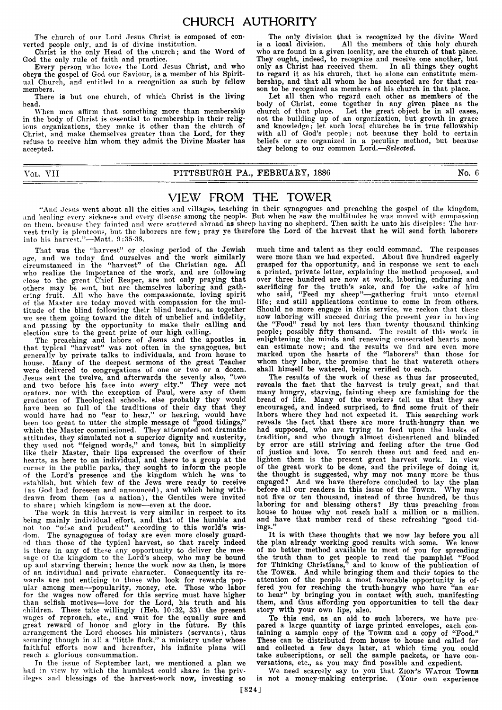## CHURCH AUTHORITY

**The church of our Lord Jesus Christ is composed of converted people only, and is of divine institution.**

**Christ is the only Head of the church; and the Word of God the only rule of faith and practice.**

**Every person who loves the Lord Jesus Christ, and who obe**3**'s the gospel of God our Saviour, is a member of his Spiritual Church, and entitled to a recognition as such by fellow members.**

**There is but one church, of which Christ is the living head.**

**When men affirm that something more than membership in the body of Christ is essential to membership in their religious organizations, they make it other than the church of Christ, and make themselves greater than the Lord, for they refuse to receive him whom they admit the Divine Master has accepted.**

**VOL. VII PITTSBURGH PA., FEBRUARY, 1886 No. 6**

### VIEW FROM THE TOWER

**"And Jesus went about all the cities and villages, teaching in their synagogues and preaching the gospel of the kingdom, and healing overv sickness and every disease among the people. But when he saw the multitudes he was moved with compassion on them, because\* they fainted and were scattered abroad as sheep having no shepherd. Then saith he unto his disciples: The harvest truly is plenteous, but the laborers are few; pray ye therefore the Lord of the harvest that he will send forth laborers into his harvest."—Matt. 0:35-38.**

**That was the "harvest" or closing period of the Jewish age, and we today find ourselves and the work similarly circumstanced in the "harvest" of the Christian age. All who realize the importance of the work, and are following close to the great Chief Reaper, are not only praying that others may be sent, but are themselves laboring and gathering fruit. All who have the compassionate, loving spirit of the Master are today moved with compassion for the multitude of the blind following their blind leaders, as together we see them going toward the ditch of unbelief and infidelity, and passing by the opportunity to make their calling and election sure to the great prize of our high calling.**

**The preaching and labors of Jesus and the apostles in that typical "harvest" was not often in the synagogues, but generally by private talks to individuals, and from house to house. Many of the deepest sermons of the great Teacher were delivered to congregations of one or two or a dozen. Jesus sent the twelve, and afterwards the seventy also, "two and two before his face into every city." They were not orators, nor with the exception of Paul, were any of them graduates of Theological schools, else probably they would have been so full of the traditions of their day that they would have had no "ear to hear," or hearing, would have been too great to utter the simple message of "good tidings," which the Master commissioned. They attempted not dramatic attitudes, they simulated not a superior dignity and austerity, they used not "feigned words," and tones, but in simplicity like their Master, their lips expressed the overflow of their hearts, as here to an individual, and there to a group at the corner in the public parks, they sought to inform the people of the Lord's presence and the kingdom which he was to establish, but which few of the Jews were ready to receive (as God had foreseen and announced), and which being withdrawn from them (as a nation), the Gentiles were invited to share; which kingdom is now—even at the door.**

**The work in this harvest is very similar in respect to its being mainly individual effort, and that of the humble and** not too "wise and prudent" according to this world's wis**dom. The synagogues of today are even more closely guarded than those of the typical harvest, so that rarely indeed is there in any of these any opportunity to deliver the message of the kingdom to the Lord's sheep, who may be bound up and starving therein; hence the work now as then, is more of an individual and private character. Consequently its rewards are not enticing to those who look for rewards popular among men—popularity, money, etc. Those who labor for the wages now offered for this service must have higher than selfish motives—love for the Lord, his truth and his children. These take willingly (Heb. 10:32, 33) the present wages of reproach, etc., and wait for the equally sure and great reward of honor and glory in the future. By this arrangement the Lord chooses his ministers (servants), thus securing though in all a "little flock," a ministry under whose faithful efforts now and hereafter, his infinite plans will reach a glorious consummation.**

**In the issue of September last, we mentioned a plan we had in view by which the humblest could share in the privileges and blessings of the harvest-work now, investing so**

**much time and talent as they could command. The responses were more than we had expected. About five hundred eagerly grasped for the opportunity, and in response we sent to each a printed, private letter, explaining the method proposed, and over three hundred are now at work, laboring, enduring and sacrificing for the truth's sake, and for the sake of him who said, "Feed my sheep"—gathering fruit unto eternal life; and still applications continue to come in from others. Should no more engage in this service, we reckon that these now laboring will succeed during the present year in having the "Food" read by not less than twenty thousand thinking people; possibly fifty thousand. The result of this work in enlightening the minds and renewing consecrated hearts none can estimate now; and the results we find are even more marked upon the hearts of the "laborers" than those for whom they labor, the promise that he that watereth others shall himself be watered, being verified to each.**

**The only division that is recognized by the divine Word is a local division. All the members of this holy church who are found in a given locality, are the church of that place. They ought, indeed, to recognize and receive one another, but only as Christ has received them. In all things they ought to regard it as his church, that he alone can constitute membership, and that all whom he has accepted are for that reason to be recognized as members of his church in that place. Let all then who regard each other as members of the body of Christ, come together in any given place as the church of that place. Let the great object be in all cases, not the building up of an organization, but growth in grace and knowledge; let such local churches be in true fellowship with all of God's people;. not because they hold to certain beliefs or are organized in a peculiar method, but because**

**they belong to our common Lord.—***Selected.*

**The results of the work of these as thus far prosecuted, reveals the fact that the harvest is truly great, and that many hungry, starving, fainting sheep are famishing for the bread of life. Many of the workers tell us that they are encouraged, and indeed surprised, to find some fruit of their labors where they had not expected it. This searching work reveals the fact that there are more truth-hungry than we had supposed, who are trying to feed upon the husks of tradition, and who though almost disheartened and blinded by error are still striving and feeling after the true God of justice and love. To search these out and feed and enlighten them is the present great harvest work. In view of the great work to be done, and the privilege of doing it, the thought is suggested, why may not many more be thus engaged? And we have therefore concluded to lay the plan before all our readers in this issue of the** Tower. **Why may not five or ten thousand, instead of three hundred, be thus laboring for and blessing others? By thus preaching from house to house why not reach half a million or a million, and have that number read of these refreshing "good tidings."**

**It is with these thoughts that we now lay before you all the plan already working good results with some. We know of no better method available to most of you for spreading the truth than to get people to read the pamphlet "Food for Thinking Christians," and to know of the publication of the** Tower. **And while bringing them and their topics to the attention of the people a most favorable opportunity is offered you for reaching the truth-hungry who have "an ear to hear" by bringing you in contact with such, manifesting them, and thus affording you opportunities to tell the dear story with your own lips, also.**

**To this end, as an aid to such laborers, we have prepared a large quantity of large printed envelopes, each containing a sample copy of the Tower and a copy of "Food." These can be distributed from house to house and called for and collected a few days later, at which time you could take subscriptions, or sell the sample packets, or have conversations, etc., as you may find possible and expedient.**

We need scarcely say to you that ZION's WATCH TOWER **is not a money-making enterprise. (Your own experience**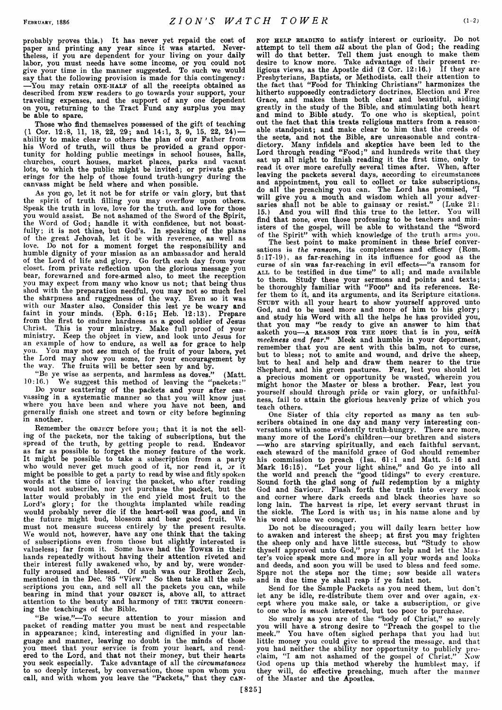**probably proves this.) It has never yet repaid the cost of paper and printing any year since it was started. Nevertheless, if you are dependent for your living on your daily labor, you must needs have some income, or you could not give your time in the manner suggested. To such we would say that the following provision is made for this contingency: —You may retain one-h alf of all the receipts obtained as described from new readers to go towards your support, your traveling expenses, and the support of any one dependent on you, returning to the Tract Fund any surplus you may be able to spare.**

**Those who find themselves possessed of the gift of teaching (1 Cor. 12:8, 11, 18, 22, 29; and 14:1, 3, 9, 15, 22, 24) ability to make clear to others the plan of our Father from his Word of truth, will thus be provided a grand opportunity for holding public meetings in school houses, halls, churches, court houses, market places, parks and vacant lots, to which the public might be invited; or private gatherings for the help of those found truth-hungry during the canvass might be held where and when possible.**

**As you go, let it not be for strife or vain glory, but that the spirit of truth filling you may overflow upon others. Speak the truth in love, love for the truth, and love for those you would assist. Be not ashamed of the Sword of the Spirit, the Word of God; handle it with confidence, but not boastfully; it is not thine, but God's. In speaking of the plans of the great Jehovah, let it be with reverence, as well as** Do not for a moment forget the responsibility and **humble dignity of your mission as an ambassador and herald of the Lord of life and glory. Go forth each day from your closet, from private reflection upon the glorious message you bear, forewarned and fore-armed also, to meet the reception you may expect from many who know us not; that being thus shod with the preparation needful, you may not so much feel the sharpness and ruggedness of the way. Even so it was with our Master also. Consider this lest ye be weary and faint in your minds. (Eph. 6:15; Heb. 12:13). Prepare from the first to endure hardness as a good soldier of Jesus Christ. This is your ministry. Make full proof of your ministry. Keep the object in view, and look unto Jesus for an example of how to endure, as well as for grace to help you. You may not** *see* **much of the fruit of your labors, yet the Lord may show you some, for your encouragement by the way. The fruits will be better seen by and by.**

**"Be ye wise as serpents, and harmless as doves." (Matt. 10:16.) We suggest this method of leaving the "packets:"**

**Do your scattering of the packets and your after canvassing in a systematic manner so that you will know just where you have been and where you have not been, and generally finish one street and town or city before beginning in another.**

Remember the OBJECT before you; that it is not the sell**ing of the packets, nor the taking of subscriptions, but the spread of the truth, by getting people to read. Endeavor as far as possible to forget the money feature of the work. It might be possible to take a subscription from a party who would never get much good of it, nor read it, or it might be possible to get a party to read by wise and fitly spoken words at the time of leaving the packet, who after reading would not subscribe, nor yet purchase the packet, but the latter would probably in the end yield most fruit to the Lord's glory; for the thoughts implanted while reading would probably never die if the heart-soil was good, and in the future might bud, blossom and bear good fruit. We must not measure success entirely by the present results. We would not, however, have any one think that the taking of subscriptions even from those but slightly interested is valueless; far from it. Some have had the Tower in their hands repeatedly without having their attention riveted and their interest fully awakened who, by and by, were wonderfully aroused and blessed. Of such was. our Brother Zecli, mentioned in the Dec. '85 "View." So then take all the subscriptions you can, and sell all the packets you can, while bearing in mind that your object is, above all, to attract** attention to the beauty and harmony of THE TRUTH concern**ing the teachings of the Bible.**

**"Be wise."—To secure attention to your mission and packet of reading matter you must be neat and respectable in appearance; kind, interesting and dignified in your language and manner, leaving no doubt in the minds of those you meet that your service is from your heart, and rendered to the Lord, and that not their money, but their hearts you seek especially. Take advantage of all the** *circumstances* **to so deeply interest, by conversation, those upon whom you** call, and with whom you leave the "Packets," that they CAN-

**not h elp reading to satisfy interest or curiosity. Do not attempt to tell them** *all* **about the plan of God; the reading will do that better. Tell them just enough to make them desire to know more. Take advantage of their present religious views, as the Apostle did (2 Cor. 12:16.) If they are Presbyterians, Baptists, or Methodists, call their attention to the fact that "Food for Thinking Christians" harmonizes the hitherto supposedly contradictory doctrines, Election and Free Grace, and makes them both clear and beautiful, aiding greatly in the study of the Bible, and stimulating both heart and mind to Bible study. To one who is skeptical, point out the fact that this treats religious matters from a reasonable standpoint; and make clear to him that the creeds of the sects, and not the Bible, are unreasonable and contradictory. Many infidels and skeptics have been led to the Lord through reading "Food;" and hundreds write that they sat up all night to finish reading it the first time, only to read it over more carefully several times after. When, after leaving the packets several days, according to circumstances and appointment, you call to collect or take subscriptions, do all the preaching you can. The Lord has promised, "I will give you a mouth and wisdom which all your adversaries shall not be able to gainsay or resist." (Luke 21: 15.) And you will find this true to the letter. You will find that none, even those professing to be teachers and ministers of the gospel, will be able to withstand the "Sword of the Spirit" with which knowledge of the truth arms you.**

**The best point to make prominent in these brief conversations is** *the ransom,* **its completeness and efficacy (Rom. 5:17-19), as far-reaching in its influence for good as the curse of sin was far-reaching in evil effects—"a ransom for all to be testified in due time" to all; and made available to them. Study these your sermons and points and texts;** be thoroughly familiar with "Foop" and its references. Re**fer them to it, and its arguments, and its Scripture citations. Study with all your heart to show yourself approved unto God, and to be used more and more of him to his glory; and study his Word with all the helps he has provided you, that you may "be ready to give an answer to him that asketh you—a reason for th e hope that is in you,** *with meekness and fear."* **Meek and humble in your deportment, remember that you are sent with this balm, not to curse, but to bless; not to smite and wound, and drive the sheep, but to heal and help and draw them nearer to the true Shepherd, and his green pastures. Fear, lest you should let a precious moment or opportunity be wasted, wherein you might honor the Master or bless a brother. Fear, lest you yourself should through pride or vain glory, or unfaithfulness, fail to attain the glorious heavenly prize of which you teach others.**

**One Sister of this city reported as many as ten subscribers obtained in one day and many very interesting conversations with some evidently truth-hungry. There are more, many more of the Lord's children—our brethren and sisters —who are starving spiritually, and each faithful servant, each steward of the manifold grace of God should remember his commission to preach (Isa. 61:1 and Matt. 5:16 and Mark 16:15). "Let your light shine," and Go ye into all the world and preach the "good tidings" to every creature. Sound forth the glad song of** *full* **redemption by a mighty God and Saviour. Flash forth the truth into every nook and corner where dark creeds and black theories have so long lain. The harvest is ripe, let every servant thrust in the sickle. The Lord is with us; in his name alone and by his word alone we conquer.**

**Do not be discouraged; you will daily learn better how to awaken and interest the sheep; at first you may frighten the sheep only and have little success, but "Study to show thyself approved unto God," pray for help and let the Master's voice speak more and more in all your words and looks and deeds, and soon you will be used to bless and feed some. Spare not the steps nor the time; sow beside all waters and in due time ye shall reap if ye faint not.**

**Send for the Sample Packets as you need them, but don't** let any be idle, re-distribute them over and over again, ex**cept where you make sale, or take a subscription, or give to one who is** *much* **interested, but too poor to purchase.**

**So surely as you are of the "body of Christ," so surely you will have a strong desire to "Preach the gospel to the meek." You have often sighed perhaps that you had but little money you could give to spread the message, and that you had neither the ability nor opportunity to publicly proclaim, "I am not ashamed of the gospel of Christ." Now God opens up this method whereby the humblest may, if they will, do effective preaching, much after the manner of the Master and the Apostles.**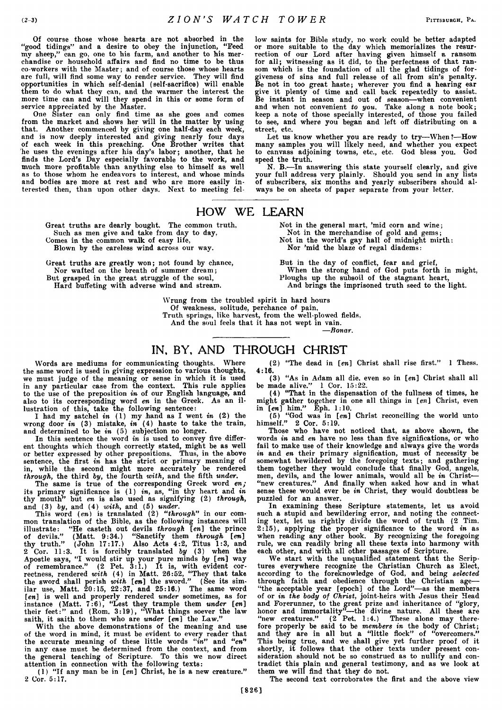**Of course those whose hearts are not absorbed in the "good tidings" and a desire to obey the injunction, "Feed my sheep," can go, one to his farm, and another to his merchandise or household affairs and find no time to be thus co-workers with the Master; and of course those whose hearts are full, will find some way to render service. They will find opportunities in which self-denial (self-sacrifice) will enable them to do what they can, and the warmer the interest the more time can and will they spend in this or some form of service appreciated by the Master.**

**One Sister can only find time as she goes and comes from the market and shows her will in the matter by using that. Another commenced by giving one half-day each week, and is now deeply interested and giving nearly four days of each week in this preaching. One Brother writes that he uses the evenings after his day's labor; another, that he finds the Lord's Day especially favorable to the work, and much more profitable than anything else to himself as well as to those whom he endeavors to interest, and whose minds and bodies are more at rest and who are more easily interested then, than upon other days. Next to meeting fel-**

**low saints for Bible study, no work could be better adapted or more suitable to the day which memorializes the resurrection of our Lord after having given himself a ransom for all; witnessing as it did, to the perfectness of that ransom which is the foundation of all the glad tidings of forgiveness of sins and full release of all from sin's penalty. Be not in too great haste; wherever you find a hearing ear give it plenty of time and call back repeatedly to assist. Be instant in season and out of season—when convenient and when not convenient** *to you.* **Take along a note book; keep a note of those specially interested, of those you failed to see, and where you began and left off distributing on a street, etc.**

**Let us know whether you are ready to try—When?—How many samples you will likely need, and whether you expect to canvass adjoining towns, etc., etc. God bless you. God speed the truth.**

**N. B.—In answering this state yourself clearly, and give your full address very plainly. Should you send in any lists of subscribers, six months and yearly subscribers should always be on sheets of paper separate from your letter.**

#### HOW WE LEARN

**Great truths are dearly bought. The common truth, Such as men give and take from day to day,**

**Comes in the common walk of easy life,**

**Blown by the careless wind across our way.**

**Great truths are greatly won; not found by chance, Nor wafted on the breath of summer dream; But grasped in the great struggle of the soul,**

**Hard buffeting with adverse wind and stream.**

**Not in the general mart, 'mid corn and wine; Not in the merchandise of gold and gems; Not in the world's gay hall of midnight mirth: Nor 'mid the blaze of regal diadems:**

**But in the day of conflict, fear and grief, When the strong hand of God puts forth in might, Ploughs up the subsoil of the stagnant heart, And brings the imprisoned truth seed to the light.**

**Wrung from the troubled spirit in hard hours Of weakness, solitude, perchance of pain, Truth springs, like harvest, from the well-plowed fields,**

**And the soul feels that it has not wept in vain.**

**—***Ronar.*

# IN, BY, AND THROUGH CHRIST

**Words are mediums for communicating thoughts. Where the same word is used in giving expression to various thoughts, we must judge of the meaning or sense in which it is used in any particular case from the context. This rule applies to the use of the preposition** *in* **of our English language, and also to its corresponding word** *en* **in the Greek. As an illustration of this, take the following sentence:**

**I had my satchel** *in* **(1) my hand as I went** *in* **(2) the wrong door** *in* **(3) mistake,** *in* **(4) haste to take the train,** and determined to be *in* (5) subjection no longer.

**In this sentence the word** *in* **is used to convey five different thoughts which though correctly stated, might be as well or better expressed by other prepositions. Thus, in the above sentence, the first** *in* **has the strict or primary meaning of in, while the second might more accurately be rendered** *through,* **the third** *by,* **the fourth** *with,* **and the fifth** *under.*

**The same is true of the corresponding Greek word** *en;* **its primary significance is (1)** *in,* **as, "in thy heart and** *in* **thy mouth" but** *en* **is also used as signifying (2)** *through,* **and (3)** *by,* **and (4)** *with,* **and (5)** *under.*

**This word** *(en)* **is translated (2)** *"through"* **in our common translation of the Bible, as the following instances will illustrate: "He casteth out devils** *through [en]* **the prince of devils." (Matt. 9:34.) "Sanctify them** *through [en]* **thy truth." (John 17:17.) Also Acts 4:2, Titus 1:3, and 2 Cor. 11:3. It is forcibly translated** *by* **(3) when the Apostle says, "I would stir up your pure minds** *by [en]* **way of remembrance." (2 Pet. 3:1.) It is, with evident correctness, rendered** *with* **(4) in Matt. 26:52, "They that take the sword shall perish** *with [en]* **the sword." (See its similar use, Matt. 20:15, 22:37, and 25:16.) The same word** *[en]* **is well and properly rendered** *under* **sometimes, as for instance (Matt. 7:6), "Lest they trample them** *under [en]* **their feet:" and (Rom. 3:19), "What things soever the law saith, it saith to them who are** *under [en]* **the Law."**

**With the above demonstrations of the meaning and use of the word in mind, it must be evident to every reader that the accurate meaning of these little words** *"in"* **and** *"en"* **in any case must be determined from the context, and from the general teaching of Scripture. To this we now direct attention in connection with the following texts:**

**(1) "If any man be in** *[en]* **Christ, he is a new creature." 2 Cor. 5:17.**

**(2) "The dead in** *[en]* **Christ shall rise first." 1 Thess. 4:16.**

**(3) "As in Adam all die, even so in** *[en]* **Christ shall all be made alive." 1 Cor. 15:22.**

**(4) "That in the dispensation of the fullness of times, he might gather together in one all things in** *[en]* **Christ, even in** *[en]* **him." Eph. 1:10.**

**(5) "God was in** *[en]* **Christ reconciling the world unto himself." 2 Cor. 5:19.**

**Those who have not noticed that, as above shown, the words** *in* **and** *en* **have no less than five significations, or who fail to make use of their knowledge and always give the words** *in* **and** *en* **their primary signification, must of necessity be somewhat bewildered by the foregoing texts; and gathering them together they would conclude that finally God, angels, men, devils, and the lower animals, would all be** *in* **Christ— "new creatures." And finally when asked how and in what sense these would ever be** *in* **Christ, they would doubtless be puzzled for an answer.**

**In examining these Scripture statements, let us avoid such a stupid and bewildering error, and noting the connecting text, let us rightly divide the word of truth (2 Tim. 2:15), applying the proper significance to the word** *in* **as when reading any other book. By recognizing the foregoing rule, we can readily bring all these texts into harmony with each other, and with all other passages of Scripture.**

**We start with the unqualified statement that the Scriptures everywhere recognize the Christian Church as Elect, according to the foreknowledge of God, and being** *selected* **through faith and obedience through the Christian age— "the acceptable year [epoch] of the Lord"—as the members of or** *in the body of Christ,* **joint-heirs with Jesus their Head and Forerunner, to the great prize and inheritance of "glory, honor and immortality"—the divine nature. All these are "new creatures." (2 Pet. 1:4.) These alone may therefore properly be said to be** *members in* **the body of Christ; and they are in all but a "little flock" of "overcomers." This being true, and we shall give yet further proof of it shortly, it follows that the other texts under present consideration should not be so construed as to nullify and contradict this plain and general testimony, and as we look at them we will find that they do not.**

**The second text corroborates the first and the above view**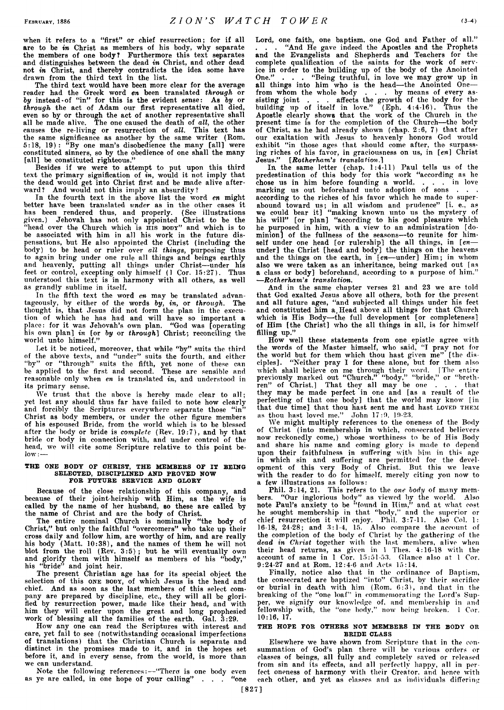**when it refers to a "first" or chief resurrection; for if all are to be** *in* **Christ as members of his body, why separate the members of one body? Furthermore this text separates and distinguishes between the dead** *in* **Christ, and other dead not** *in* **Christ, and thereby contradicts the idea some have drawn from the third text in the list.**

**The third text would have been more clear for the average reader had the Greek word** *en* **been translated** *through* **or** *by* **instead-of "in" for this is the evident sense: As** *by* **or** *through* **the act of Adam our first representative all died, even so by or through the act of another representative shall all be made alive. The one caused the death of** *all,* **the other causes the re-living or resurrection of** *all.* **This text has the same significance as another by the same writer (Rom. 5:18, 19): "By one man's disobedience the many [all] were constituted sinners, so by the obedience of one shall the many [all] be constituted righteous."**

**Besides if we were to attempt to put upon this third text the primary signification of** *in,* **would it not imply that the dead would get into Christ first and be made alive afterward? And would not this imply an absurdity?**

**In the fourth text in the above list the word** *en* **might better have been translated** *under* **as in the other cases it has been rendered thus, and properly. (See illustrations given.) Jehovah has not only appointed Christ to be the** "head over the Church which is **HIS BODY**" and which is to **be associated with him in all his work in the future dispensations, but He also appointed the Christ (including the body) to be head or ruler over** *all things,* **purposing thus to again bring under one rule all things and beings earthly and heavenly, putting all things under Christ—under his feet or control, excepting only himself (1 Cor. 15:27). Thus understood this text is in harmony with all others, as well as grandly sublime in itself.**

**In the fifth text the word** *en* **may be translated advantageously, by either of the words** *by, in,* **or** *through.* **The thought is, that Jesus did not form the plan in the execution of which he has had and will have so important a place: for it was Jehovah's own plan. "God was [operating his own plan]** *in* **[or** *by* **or** *through***] Christ; reconciling the world unto himself."**

**Let it be noticed, moreover, that while "by" suits the third of the above texts, and "under" suits the fourth, and either "by" or "through" suits the fifth, yet none of these can be applied to the first and second. These are sensible and reasonable only when** *en* **is translated** *in,* **and understood in its primary sense.**

We trust that the above is hereby made clear to all; **yet lest any should thus far have failed to note how clearly and forcibly the Scriptures everywhere separate those "in" Christ as body members, or under the other figure members of his espoused Bride, from the world which is to be blessed after the body or bride is** *complete* **(Rev. 19:7), and by that bride or body in connection with, and under control of the head, we will cite some Scripture relative to this point below : —**

#### THE ONE BODY OF CHRIST, THE MEMBERS OF IT BEING SELECTED, DISCIPLINED AND PROVED NOW FOR FUTURE SERVICE AND GLORY

**Because of the close relationship of this company, and because of their joint-heirship with Him, as the wife is called by the name of her husband, so these are called by the name of Christ and are the body of Christ.**

**The entire nominal Church is nominally "the body of Christ," but only the faithful "overcomers" who take up their cross daily and follow him, are worthy of him, and are really his body (Matt. 10:38), and the names of them he will not blot from the roll (Rev. 3 :5 ); but he will eventually own and glorify them with himself as members of his "body," his "bride" and joint heir.**

**The present Christian age has for its special object the selection of this one body, of which Jesus is the head and chief. And as soon as the last members of this select company are prepared by discipline, etc., they will all be glorified by resurrection power, made like their head, and with him they will enter upon the great and long prophesied work of blessing all the families of the earth. Gal. 3:29.**

**How any one can read the Scriptures with interest and care, yet fail to see (notwithstanding occasional imperfections of translations) that the Christian Church is separate and distinct in the promises made to it, and in the hopes set before it, and in every sense, from the world, is more than we can understand.**

**Note the following references:—"There: is one body even as ye are called, in one hope of your calling" . . . "one** **Lord, one faith, one baptism, one God and Father of all."** "And He gave indeed the Apostles and the Prophets **and the Evangelists and Shepherds and Teachers for the complete qualification of the saints for the work of service in order to the building up of the body of the Anointed One." . . . "Being truthful, in love we may grow up in all things into him who is the head—the Anointed One from whom the whole body . . . by means of every assisting joint . . . affects the growth of the body for the building up of itself in love." (Eph. 4:4-16). Thus the Apostle clearly shows that the work of the Church in the present time is for the completion of the Church—the body of Christ, as he had already shown (chap. 2:6, 7) that after our exaltation with Jesus to heavenly honors God would exhibit "in those ages that should come after, the surpassing riches of his favor, in graciousness on us, in** *[en]* **Christ Jesus."** *[Rotherham's translation.]*

**In the same letter (chap. 1:4-11) Paul tells us of the predestination of this body for this work "according as he chose us in him before founding a world, . . . in love marking us out beforehand unto adoption of sons . . . according to the riches of his favor which he made to superabound toward us; in all wisdom and prudence" [i. e., as we could bear it] "making known unto us the mystery of his will" [or plan] "according to his good pleasure which he purposed in him, with a view to an administration [dominion] of the fullness of the seasons—to reunite for himself under one head [or rulership] the all things, in** *[en* **under] the Christ [head and body] the things on the heavens and the things on the earth, in** *[en***—under] Him; in whom also we were taken as an inheritance, being marked out [as a class or body] beforehand, according to a purpose of him." —***Rotherham's translation.*

**And in the same chapter verses 21 and 23 we are' told that God exalted Jesus above all others, both for the present and all future ages, "and subjected all things under his feet and constituted him a. Head above all things for that Church** which is His Body—the full development [or completeness] **of Him [the Christ] who the all things in all, is for himself filling up."**

**How well these statements from one epistle agree with the words of the Master himself, who said, "I pray not for the world but for them which thou hast given me" [the disciples]. "Neither pray I for these alone, but for them also which shall believe on me through their word. [The entire previously marked out "Church," "body," "bride," or "brethren" of Christ.] That they all may be one . . . that they may be made perfect in one and [as a result of the perfecting of that one body] that the world may know [in** that due time] that thou hast sent me and hast LOVED THEM **as thou bast loved me." John 17:9. 19-23.**

**We might multiply references to the oneness of the Body of Christ (into membership in which, consecrated believers now reckonedly come,) whose worthiness to be of His Body and share his name and coming glory is made to depend upon their faithfulness in suffering with him in this age in which sin and suffering are permitted for the development of this very Body of Christ. But this we leave with the reader to do for himself, merely citing you now to a few illustrations as follows:**

**Phil. 3:14, 21. This refers to the** *one body* **of many members. "Our inglorious body" as viewed by the world. Also note Paul's anxiety to be "found in Him," and at what cost he sought membership in that "body," and the superior or chief resurrection it will enjoy. Phil. 3:7-11. Also Col. 1: 16-18, 24-28; and 3:1-4, 15. Also compare the account of the completion of the body of Christ by the gathering of the** *dead in Christ* **together with the last members, alive when** their head returns, as given in 1 Thes. 4:16-18 with the **account of same in 1 Cor. 15:51-53. Glance also at 1 Cor. 9:24-27 and at Rom. 12:4-6 and Acts 15:14.**

**Finally, notice also that in the ordinance of Baptism, the consecrated are baptized "into" Christ, by their sacrifice or burial in death with him (Rom. 6:3), and that in the breaking of the "one loaf" in commemorating the Lord's Supper, we signify our knowledge of, and membership in and fellowship with, the "one body," now being broken. 1 Cor. 10:16, 17.**

#### THE HOPE FOR OTHERS NOT MEMBERS IN THE BODY OR BRIDE CLASS

**Elsewhere we have shown from Scripture that in the consummation of God's plan there will be various orders or classes of beings, all fully and completely saved or released from sin and its effects, and all perfectly happy, all in perfect oneness of harmony with their Creator, and hence with each other, and yet as classes and as individuals differing**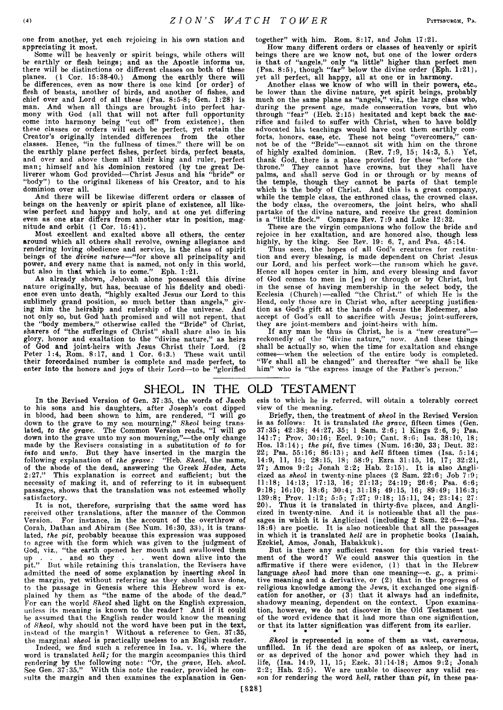**one from another, yet each rejoicing in his own station and appreciating it most.**

**Some will be heavenly or spirit beings, while others will be earthly or flesh beings; and as the Apostle informs us, there will be distinctions or different classes on both of these planes. (1 Cor. 15:38-40.) Among the earthly there will be differences, even as now there is one kind [or order] of flesh of beasts, another of birds, and another of fishes, and chief over and Lord of all these (Psa. 8:5-8; Gen. 1:28) is man. And when all things are brought into perfect harmony with God (all that will not after full opportunity come into harmony being "cut off" from existence), then these classes or orders will each be perfect, yet retain the Creator's originally intended differences from the other classes. Hence, "in the fullness of times," there will be on the earthly plane perfect fishes, perfect birds, perfect beasts, and over and above them all their king and ruler, perfect man; himself and his dominion restored (by tne great Deliverer whom God provided—Christ Jesus and his "bride" or "body" ) to the original likeness of his Creator, and to his dominion over all.**

**And there will be likewise different orders or classes of beings on the heavenly or spirit plane of existence, all likewise perfect and happy and holy, and at one yet differing even as one star differs from another star in position, magnitude and orbit (1 Cor. 15:41).**

**Most excellent and exalted above all others, the center around which all others shall revolve, owning allegiance and rendering loving obedience and service, is the class of spirit beings of the** *divine nature***—"for above all principality and power, and every name that is named, not only in this world, but also in that which is to come." Eph. 1:21.**

**As already shown, Jehovah alone possessed this divine nature originally, but has, because of his fidelity and obedience even unto death, "highly exalted Jesus our Lord to this sublimely grand position, so much better than angels," giving him the heirship and rulership of the universe. And not only so, but God hath promised and will not repent, that the "body members," otherwise called the "Bride" of Christ, sharers of "the sufferings of Christ" shall share also in his glory, honor and exaltation to the "divine nature," as heirs of God and joint-heirs with Jesus Christ their Lord. (2 Peter 1:4, Rom. 8:17, and 1 Cor. 6:3.) These wait until their foreordained number is complete and made perfect, to enter into the honors and joys of their Lord—to be "glorified**

**together" with him. Rom. 8:17, and John 17:21.**

**How many different orders or classes of heavenly or spirit beings there are we know not, but one of the lower orders is that of "angels," only "a little" higher than perfect men (Psa. 8:5), though "far" below the divine order (Eph. 1:21), yet all perfect, all happy, all at one or in harmony.**

**Another class we know of who will in their powers, etc., be lower than the divine nature, yet spirit beings, probably much on the same plane as "angels," viz., the large class who, during the present age, made consecration vows, but who through "fear" (Heb. 2:15) hesitated and kept back the sacrifice and failed to suffer with Christ, when to have boldly advocated his teachings would have cost them earthly comforts, honors, ease, etc. These not being "overcomers," cannot be of the "Bride"—cannot sit with him on the throne of highly exalted dominion. (Rev. 7:9, 15; 14:3, 5.) Yet, thank God, there is a place provided for these "before the throne." They cannot have crowns, but they shall have palms, and shall serve God in or through or by means of the temple, though they cannot be parts of that temple which is the body of Christ. And this is a great company, while the temple class, the enthroned class, the crowned class, the body class, the overcomers, the joint heirs, who shall partake of the divine nature, and receive the great dominion is a "little flock." Compare Rev. 7:9 and Luke 12:32.**

**These are the virgin companions who follow the bride and rejoice in her exaltation, and are honored also, though less highly, by the king. See Rev. 19: 6, 7, and Psa. 45:14.**

**Thus seen, the hopes of all God's creatures for restitution and every blessing, is made dependent on Christ Jesus our Lord, and his perfect work—the ransom which he gave. Hence all hopes center in him, and every blessing and favor of God comes to men in [en] or through or by Christ, but in the sense of having membership in the select body, the Ecclesia (Church)—called "the Christ." of which He is the Head, only those are in Christ who, after accepting justification as God's gift at the hands of Jesus the Redeemer, also accept of God's call to sacrifice with Jesus; joint-sufferers, they are joint-members and joint-heirs with him.**

**If any man be thus** *in* **Christ, he is a "new creature" reckonedly of the "divine nature," now. And these things shall be actually so, when the time for exaltation and change comes—when the selection of the entire body is completed.** *"We* **shall all be changed" and thereafter "we shall be like him" who is "the express image of the Father's person."**

## SHEOL IN THE OLD TESTAMENT

**In the Revised Version of Gen. 37:35, the words of Jacob to his sons and his daughters, after Joseph's coat dipped in blood, had been shown to him, are rendered, "I will go down to the grave to my son mourning,"** *Sheol* **being translated,** *to the grave.* **The Common Version reads, "I will go down into the grave unto my son mourning,"—the only change made by the Revisers consisting in a substitution of** *to* **for** *into* **and** *unto.* **But they have inserted in the margin the following explanation of** *the grave:* **"Heb.** *Sheol,* **the name, of the abode of the dead, answering the Greek** *Hades,* **Acts 2:27." This explanation is correct and sufficient; but the necessity of making it, and of referring to it in subsequent passages, shows that the translation was not esteemed wholly satisfactory.**

**It is not, therefore, surprising that the same word has received other translations, after the manner of the Common Version. For instance, in the account of the overthrow of Corah, Dathan and Abiram (See Num. 16:30, 33), it is translated,** *the pit,* **probably because this expression was supposed to agree with the form which was given to the judgment of** God, viz., "the earth opened her mouth and swallowed them<br>up . . . and so they . . . went down alive into the **up . . . and so they . . . went down alive into the pit." But while retaining this translation, the Revisers have admitted the need of some explanation by inserting** *sheol* **in the margin, yet without referring as they should have done, to the passage in Genesis where this Hebrew word is explained by them as "the name of the abode of the dead." For can the world** *Sheol* **shed light on the English expression, unless its meaning is known to the reader? And if it could be assumed that the English reader would know the meaning of** *Sheol,* **why should not the word have been put in the text, instead of the margin? Without a reference to Gen. 37:35,**

**the marginal** *sheol* **is practically useless to an English reader. Indeed, we find such a reference in Isa. v. 14, where the word is translated** *hell;* **for the margin accompanies this third rendering by the following note: "Or, the** *grave,* **Heb.** *sheol.* **See Gen. 37:35." With this note the reader, provided he consults the margin and then examines the explanation in Gen-** **esis to which lie is referred, will obtain a tolerably correct view of the meaning.**

**Briefly, then, the treatment of** *sheol* **in the Revised Version is as follows: It is translated** *the grave,* **fifteen times (Gen. 37:35; 42:38; 44:27, 35; 1 Sam. 2:6; 1 Kings 2:6, 9; Psa. 141:7; Prov. 30:16; Eccl. 9:10; Cant. 8:6; Isa. 38:10, 18; Hos. 13:14);** *the pit,* **five times (Num. 16:30, 33; Deut. 32: 22; Psa. 55:16; 86:13); and** *hell* **fifteen times (Isa. 5:14; 14:9, 11, 15; 28:15, 18; 58:9; Ezra 31:15, 16, 17; 32:21, 27; Amos 9:2; Jonah 2:2; Hab. 2:15). It is also Anglicized as** *sheol* **in twenty-nine places (2 Sam. 22:6; Job 7:9; 11:18; 14:13; 17:13, 16; 21:13; 24:19; 26:6; Psa. 6:6; 9:18; 16:10; 18:6; 30:4; 31:18; 49:15, 16; 89:49; 116:3; 139:8; Prov. 1:12; 5:5; 7:27; 9:18; 15:11, 24; 23:14; 27: 20). Thus it is translated in thirty-five places, and Anglicized in twenty-nine. And it is noticeable that all the passages in which it is Anglicized (including 2 Sam. 22:6—Psa. 18:6) are poetic. It is also noticeable that all the passages in which it is translated** *hell* **are in prophetic books (Isaiah, Ezekiel, Amos, Jonah, Habakkuk).**

**But is there any sufficient reason for this varied treatment of the word? We could answer this question in the affirmative if there were evidence, (1) that in the Hebrew language** *sheol* **had more than one meaning—e. g., a primitive meaning and a derivative, or (2) that in the progress of religious knowledge among the Jews, it exchanged one signification for another, or (3) that it always had an indefinite, shadowy meaning, dependent on the context. Upon examination, however, we do not discover in the Old Testament use of the word evidence that it had more than one signification, or that its latter signification was different from its earlier.** *\*\*\*\*\*\*\**

*Sheol* **is represented in some of them as vast, cavernous, unfilled. In it the dead are spoken of as asleep, or inert, or as deprived of the honor and power which they had in life, (Isa. 14:9, 11, 15; Ezek. 31:14-18; Amos 9:2; Jonah 2:2; Hab. 2:5). We are unable to discover any valid reason for rendering the word** *hell,* **rather than** *pit,* **in these pas**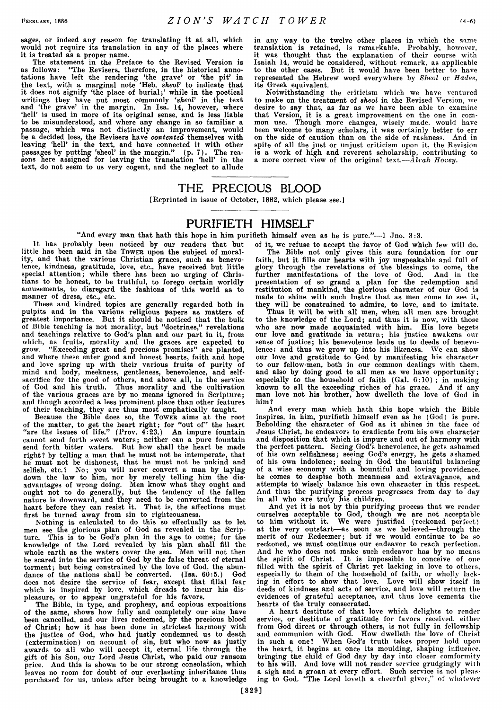**sages, or indeed any reason for translating it at all, which would not require its translation in any of the places where it is treated as a proper name.**

**The statement in the Preface to the Revised Version is as follows: "The Revisers, therefore, in the historical annotations have left the rendering 'the grave' or 'the pit' in the text, with a marginal note 'Heb.** *sheol'* **to indicate that it does not signify 'the place of burial;' while in the poetical writings they have put most commonly** *'sheol'* **in the text and 'the grave' in the margin. In Isa. 14, however, where 'hell' is used in more of its original sense, and is less liable to be misunderstood, and where any change in so familiar a passage, which was not distinctly an improvement, would be a decided loss, the Revisers have** *contented* **themselves with leaving 'hell' in the text, and have connected it with other passages by putting 'sheol' in the margin." (p. 7). The reasons here assigned for leaving the translation 'hell' in the text, do not seem to us very cogent, and the neglect to allude**

**in any way to the twelve other places in which the same translation is retained, is remarkable. Probably, however, it was thought that the explanation of their course with Isaiah 14, would be considered, without remark, as applicable to the other cases. But it would have been better to have represented the Hebrew word everywhere by** *Sheol* **or** *Hades,* Greek equivalent.

**Notwithstanding the criticism which we have ventured to make on the treatment of** *sheol* **in the Revised Version, we desire to say that, as far as we have been able to examine that Version, it is a great improvement on the one in common use. Though more changes, wisely made, would have been welcome to many scholars, it was certainly better to err on the side of caution than on the side of rashness. And in spite of all the just or unjust criticism upon it, the Revision is a work of high and reverent scholarship, contributing to a more correct view of the original text***.—Alvah Hovey.*

#### THE PRECIOUS BLOOD

**[Reprinted in issue of October, 1882, which please see.]**

## PURIFIETH HIMSELF

"And every man that hath this hope in him purifieth himself even as he is pure."--1 Jno. 3:3.

**It has probably been noticed by our readers that but** little has been said in the Tower upon the subject of moral**ity, and that the various Christian graces, such as benevolence, kindness, gratitude, love, etc., have received but little special attention; while there has been no urging of Christians to be honest, to be truthful, to forego certain worldly amusements, to disregard the fashions of this world as to manner of dress, etc., etc.**

**These and kindred topics are generally regarded both in pulpits and in the various religious papers as matters of greatest importance. But it should be noticed that the bulk of Bible teaching is not morality, but "doctrines," revelations and teachings relative to God's plan and our part in it, from which, as fruits, morality and the graces are expected to grow. "Exceeding great and precious promises" are planted, and where these enter good and honest hearts, faith and hope and love spring up with their various fruits of purity of mind and body, meekness, gentleness, benevolence, and selfsacrifice for the good of others, and above all, in the service of God and his truth. Thus morality and the cultivation of the various graces are by no means ignored in Scripture; and though accorded a less prominent place than other features of their teaching, they are thus most emphatically taught.**

**Because the Bible does so, the Toweb aims at the root of the matter, to get the heart right; for "out of" the heart "are the issues of life." (Prov. 4:23.) An impure fountain cannot send forth sweet waters; neither can a pure fountain send forth bitter waters. But how shall the heart be made right? by telling a man that he must not be intemperate, that he must not be dishonest, that he must not be unkind and selfish, etc.? No; you will never convert a man by laying down the law to him, nor by merely telling him the disadvantages of wrong doing. Men know what they ought and ought not to do generally, but the tendency of the fallen nature is downward, and they need to be converted from the heart before they can resist it. That is, the affections must first be turned away from sin to righteousness.**

**Nothing is calculated to do this so effectually as to let men see the glorious plan of God as revealed in the Scripture. This is to be God's plan in the age to come; for the knowledge of the Lord revealed by his plan shall fill the whole earth as the waters cover the sea. Men will not then be scared into the service of God by the false threat of eternal torment; but being constrained by the love of God, the abundance of the nations shall be converted. (Isa. 60:5.) God does not desire the service of fear, except that filial fear** which is inspired by love, which dreads to incur his dis**pleasure, or to appear ungrateful for his favors.**

**The Bible, in type, and prophesy, and copious expositions of the same, shows how fully and completely our sins have been cancelled, and our lives redeemed, by the precious blood of Christ; how it has been done in strictest harmony with the justice of God, who had justly condemned us to death (extermination) on account of sin, but who now as justly awards to all who will accept it, eternal life through the gift of his Son, our Lord Jesus Christ, who paid our ransom price. And this is shown to be our strong consolation, which leaves no room for doubt of our everlasting inheritance thus purchased for us, unless after being brought to a knowledge**

**of it, we refuse to accept the favor of God which few will do. The Bible not only gives this sure foundation for our faith, but it fills our hearts with joy unspeakable and full of glory through the revelations of the blessings to come, the further manifestations of the love of God. And in the presentation of so grand a plan for the redemption and restitution of mankind, the glorious character of our God is made to shine with such lustre that as men come to see it, they will be constrained to admire, to love, and to imitate.**

**Thus it will be with all men, when all men are brought to the knowledge of the Lord; and thus it is now, with those who are now made acquainted with him. His love begets our love and gratitude in return; his justice awakens our sense of justice; his benevolence leads us to deeds of benevolence: and thus we grow up into his likeness. We can show our love and gratitude to God by manifesting his character to our fellow-men, both in our common dealings with them, and also by doing good to all men as we have opportunity; especially to the household of faith (Gal. 6:10) ; in making known to all the exceeding riches of his grace. And if any man love not his brother, how dwelleth the love of God in him?**

**And every man which hath this hope which the Bible inspires, in him, purifieth himself even as he (God) is pure. Beholding the character of God as it shines in the face of Jesus Christ, he endeavors to eradicate from his own character and disposition that which is impure and out of harmony with the perfect pattern. Seeing God's benevolence, he gets ashamed of his own selfishness; seeing God's energy, he gets ashamed of his own indolence; seeing in God the beautiful balancing of a wise economy with a bountiful and loving providence, he comes to despise both meanness and extravagance, and attempts to wisely balance his own character in this respect. And thus the purifying process progresses from day to day in all who are truly his children.**

**And yet it is not by this purifying process that we render ourselves acceptable to God, though we are not acceptable to him without it. We were justified (reckoned perfect) at the very outstart—as soon as we believed—through the merit of our Redeemer; but if we would continue to be so reckoned, we must continue our endeavor to reach perfection.** And he who does not make such endeavor has by no means **the spirit of Christ. It is impossible to conceive of one filled with the spirit of Christ yet lacking in love to others, especially to them of the household of faith, or wholly lacking in effort to show that love. Love will show itself in deeds of kindness and acts of service, and love will return the evidences of grateful acceptance, and thus love cements the hearts of the truly consecrated.**

**A heart destitute of that love which delights to render service, or destitute of gratitude for favors received, either from God direct or through others, is not fully in fellowship and communion with God. How dwelleth the love of Christ in such a one? When God's truth takes proper hold upon the heart, it begins at once its moulding, shaping influence, bringing the child of God day by day into closer comformity to his will. And love will not render service grudgingly with a sigh and a groan at every effort. Such service is not pleasing to God. "The Lord loveth a cheerful giver," of whatever**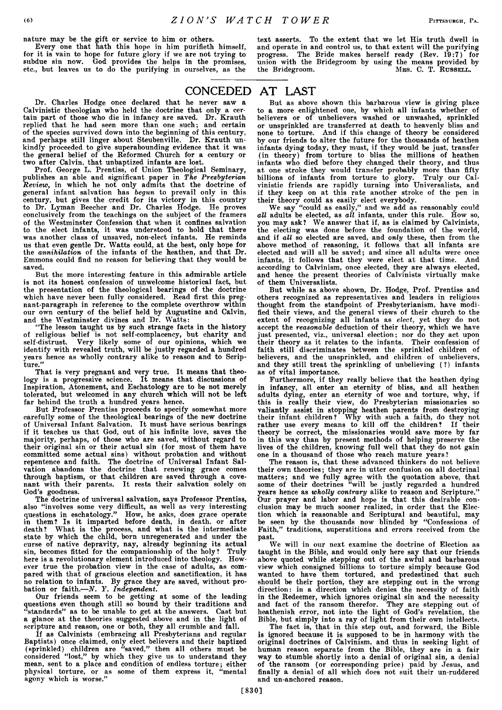**nature may be the gift or service to him or others.**

**Every one that hath this hope in him purifieth himself, for it is vain to hope for future glory if we are not trying to subdue sin now. God provides the helps in the promises, etc., but leaves us to do the purifying in ourselves, as the**

**text asserts. To the extent that we let His truth dwell in and operate in and control us, to that extent will the purifying** The Bride makes herself ready (Rev. 19:7) for **union with the Bridegroom by using the means provided by** the Bridegroom. MRS. C. T. RUSSELL.

## CONCEDED AT LAST

**Dr. Charles Hodge once declared that he never saw a Calvinistic theologian who held the doctrine that only a certain part of those who die in infancy are saved. Dr. Krauth replied that he had seen more than one such; and certain of the species survived down into the beginning of this century, and perhaps still linger about Steubenville. Dr. Krauth unkindly proceeded to give superabounding evidence that it was the general belief of the Reformed Church for a century or two after Calvin, that unbaptized infants are lost.**

**Prof. George L. Prentiss, of Union Theological Seminary, publishes an able and significant paper in** *The Presbyterian Review,* **in which he not only admits that the doctrine of general infant salvation has** *begun* **to prevail only in this century, but gives the credit for its victory in this country to Dr. Lyman Beecher and Dr. Charles Hodge. He proves conclusively from the teachings on the subject of the framers of the Westminster Confession that when it confines salvation to the elect infants, it was understood to hold that there was another class of unsaved, non-elect infants. He reminds us that even gentle Dr. Watts could, at the best, only hope for the** *annihilation* **of the infants of the heathen, and that Dr. Emmons could find no reason for believing that they would be saved.**

**But the more interesting feature in this admirable article** is not its honest confession of unwelcome historical fact, but **the presentation of the theological bearings of the doctrine which have never been fully considered. Read first this pregnant-paragraph in reference to the complete overthrow within our own century of the belief held by Augustine and Calvin, and the Westminster divines and Dr. Watts:**

**"The lesson taught us by such strange facts in the history of religious belief is not self-complacency, but charity and self-distrust. Very likely some of our opinions, which we identify with revealed truth, will be justly regarded a hundred years hence as wholly contrary alike to reason and to Scripture."**

**That is very pregnant and very true. It means that theology is a progressive science. It means that discussions of Inspiration, Atonement, and Eschatology are to be not merely tolerated, but welcomed in any church which will not be left far behind the truth a hundred years hence.**

**But Professor Prentiss proceeds to specify somewhat more carefully some of the theological bearings of the new doctrine of Universal Infant Salvation. It must have serious bearings if it teaches us that God, out of his infinite love, saves the majority, perhaps, of those who are saved, without regard to their original sin or their actual sin (for most of them have committed some actual sins) without probation and without repentence and faith. The doctrine of Universal Infant Salvation abandons the doctrine that renewing grace comes through baptism, or that children are saved through a covenant with their parents. It rests their salvation solely on God's goodness.**

**The doctrine of universal salvation, says Professor Prentiss, also "involves some very difficult, as well as very interesting questions in eschatology." How, he asks, does grace operate in them? Is it imparted before death, in death, or after death? What is the process, and what is the intermediate state by which the child, born unregenerated and under the curse of native depravity, nay, already beginning its actual sin, becomes fitted for the companionship of the holy? Truly here is a revolutionary element introduced into theology. However true the probation view in the case of adults, as compared with that of gracious election and sanctification, it has no relation to infants. By grace they are saved, without probation or faith.—***N. Y. Independent.*

**Our friends seem to be getting at some of the leading questions even though still so bound by their traditions and "standards" as to be unable to get at the answers. Cast but a glance at the theories suggested above and in the light of scripture and reason, one or both, they all crumble and fall.**

**If as Calvinists (embracing all Presbyterians and regular Baptists) once claimed, only elect believers and their baptized (sprinkled) children are "saved," then all others must be considered "lost," by which they give us to understand they mean, sent to a place and condition of endless torture; either physical torture, or as some of them express it, "mental agony which is worse."**

**But as above shown this barbarous view is giving place to a more enlightened one, by which all infants whether of believers or of unbelievers washed or unwashed, sprinkled or unsprinkled are transferred at death to heavenly bliss and none to torture. And if this change of theory be considered by our friends to alter the future for the thousands of heathen infants dying today, they must, if they would be just, transfer (in theory) from torture to bliss the millions of heathen infants who died before they changed their theory, and thus at one stroke they would transfer probably more than fifty billions of infants from torture to glory. Truly our Calvinistic friends are rapidly turning into Universalists, and if they keep on at this rate another stroke of the pen in their theory could as easily elect everybody.**

**We say "could as easily," and we add as reasonably could** *all* **adults be elected, as** *all* **infants, under this rule, flow so, you may ask? We answer that if, as is claimed by Calvinists, the electing was done before the foundation of the world, and if** *all* **so elected are saved, and** *only* **these, then from the above method of reasoning, it follows that all infants are elected and will all be saved; and since all adults were once infants, it follows that they were elect at that time. And according to Calvinism, once elected, they are always elected, and hence the present theories of Calvinists virtually make of them Universalists.**

**But while as above shown, Dr. Hodge, Prof. Prentiss and others recognized as representatives and leaders in religious thought from the standpoint of Presbyterianism, have modified their views, and the general views of their church to the extent of recognizing all infants as** *elect,* **yet they do not accept the** *reasonable* **deduction of their theory, which we have just presented, viz., universal election; nor do they act upon their theory as it relates to the infants. Their confession of faith still discriminates between the sprinkled children of believers, and the unsprinkled, and children of unbelievers, and they still treat the sprinkling of unbelieving (?) infants as of vital importance.**

**Furthermore, if they really believe that the heathen dying in infancy, all enter an eternity of bliss, and all heathen adults dying, enter an eternity of woe and torture, why, if this is really their view, do Presbyterian missionaries so valiantly assist in stopping heathen parents from destroying their infant children ? Why with such a faith, do they not rather use every means to kill off the children? If their theory be correct, the missionaries would save more by far in this way than by present methods of helping preserve the lives of the children, knowing full well that they do not gain one in a thousand of those who reach mature years?**

**The reason is, that these advanced thinkers do not believe their own theories; they are in utter confusion on all doctrinal matters; and we fully agree with the quotation above, that some of their doctrines "will be justly regarded a hundred years hence as** *wholly contrary* **alike to reason and Scripture." Our prayer and labor and hope is that this desirable conclusion may be much sooner realized, in order that the Election which is reasonable and Scriptural and beautiful, may be seen by the thousands now blinded by "Confessions of Faith," traditions, superstitions and errors received from the past.**

**We will in our next examine the doctrine of Election as taught in the Bible, and would only here say that our friends above quoted while stepping out of the awful and barbarous view which consigned billions to torture simply because God wanted to have them tortured, and predestined that such should be their portion, they are stepping out in the wrong direction: in a direction which denies the necessity of faith in the Redeemer, which ignores original sin and the necessity and fact of the ransom therefor. They are stepping out of heathenish error, not into the light of God's revelation, the Bible, but simply into a ray of light from their own intellects.**

**The fact is, that in this step out, and forward, the Bible is ignored because it is supposed to be in harmony with the original doctrines of Calvinism, and thus in seeking light of human reason separate from the Bible, they are in a fair way to stumble shortly into a denial of original sin, a denial of the ransom (or corresponding price) paid by Jesus, and finally a denial of all which does not suit their un-ruddered and un-anchored reason.**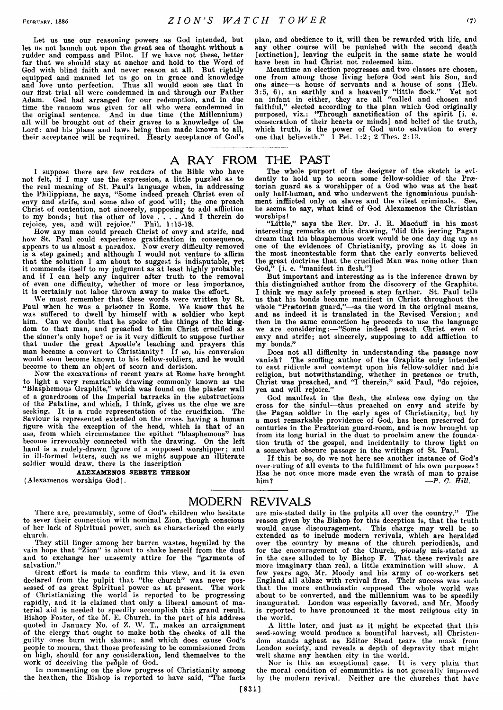**Let us use our reasoning powers as God intended, but let us not launch out upon the great sea of thought without a rudder and compass and Pilot. If we have not these, better far that we should stay at anchor and hold to the Word of God with blind faith and never reason at all. But rightly equipped and manned let us go on in grace and knowledge and love unto perfection. Thus all would soon see that in our first trial all were condemned in and through our Father Adam. God had arranged for our redemption, and in due time the ransom was given for all who were condemned in the original sentence. And in due time (the Millennium) all will be brought out of their graves to a knowledge of the Lord: and his plans and laws being then made known to all, their acceptance will be required. Hearty acceptance of God's**

**I suppose there are few readers of the Bible who have not felt, if I may use the expression, a little puzzled as to the real meaning of St. Paul's language when, in addressing the Philippians, he says, "Some indeed preach Christ even of envy and strife, and some also of good will; the one preach Christ of contention, not sincerely, supposing to add affliction to my bonds; but the other of love .... And I therein do rejoice, yea, and will rejoice." Phil. 1:15-18.**

**How any man could preach Christ of envy and strife, and how St. Paul could experience gratification in consequence, appears to us almost a paradox. Now every difficulty removed is a step gained; and although I would not venture to affirm that the solution I am about to suggest is indisputable, yet it commends itself to my judgment as at least highly probable; and if I can help any inquirer after truth to the removal of even one difficulty, whether of more or less importance, it is certainly not labor thrown away to make the effort.**

**We must remember that these words were written by St. Paul when he was a prisoner in Rome. We know that he was suffered to dwell by himself with a soldier who kept him. Can we doubt that he spoke of the things of the kingdom to that man, and preached to him Christ crucified as the sinner's only hope? or is it very difficult to suppose further that under the great Apostle's teaching and prayers this man became a convert to Christianity? If so, his conversion would soon become known to his fellow-soldiers, and he would become to them an object of scorn and derision.**

**Now the excavations of recent years at Rome have brought to light a very remarkable drawing commonly known as the "Blasphemous Graphite," which was found on the plaster wall of a guardroom of the Imperial barracks in the substructions of the Palatine, and which, I think, gives us the clue we are seeking. It is a rude representation of the crucifixion. The Saviour is represented extended on the cross, having a human figure with the exception of the head, which is that of an ass, from which circumstance the epithet "blasphemous" has become irrevocably connected with the drawing. On the left hand is a rudely-drawn figure of a supposed worshipper; and in ill-formed letters, such as we might suppose an illiterate soldier would draw, there is the inscription**

ALEXAMENOS SEBETE THEBON

**(Alexamenos worships God).**

**plan, and obedience to it, will then be rewarded with life, and any other course will he punished with the second death [extinction], leaving the culprit in the same state he would have been in had Christ not redeemed him.**

**Meantime an election progresses and two classes are chosen, one from among those living before God sent his Son, and one since—a, house of servants and a house of sons (Heb. 3:5, 6), an earthly and a heavenly "little flock." Yet not an infant in either, they are all "called and chosen and faithful," elected according to the plan which God originally purposed, viz.: "Through sanctification of the spirit [i. e. consecration of their hearts or minds] and belief of the truth, which truth, is the power of God unto salvation to every one that believeth." 1 Pet. 1:2; 2 Tlies. 2:13.**

## A RAY FROM THE PAST

**The whole purport of the designer of the sketch is evidently to hold up to scorn some fellow-soldier of the Praetorian guard as a worshipper of a God who was at the best** only half-human, and who underwent the ignominious punish**ment infflicted only on slaves and the vilest criminals. See, he seems to say, what kind of God Alexamenos the Christian worships!**

**"Little," says the Rev. Dr. J. R. Macduff in his most interesting remarks on this drawing, "did this jeering Pagan dream that his blasphemous work would be one day dug up as one of the evidences of Christianity, proving as it does in the most incontestable form that the early converts believed the great doctrine that the crucified Man was none other than God," [i. e. "manifest in flesh."]**

**But important and interesting as is the inference drawn by this distinguished author from the discovery of the Graphite, I think we may safely proceed a step farther. St. Paul tells us that his bonds became manifest in Christ throughout the whole "Praetorian guard,"—as the word in the original means, and as indeed it is translated in the Revised Version; and then in the same connection he proceeds to use the language we are considering:—"Some indeed preach Christ even of envy and strife; not sincerely, supposing to add affliction to my bonds."**

**Does not all difficulty in understanding the passage now** The scoffing author of the Graphite only intended **to cast ridicule and contempt upon his fellow-soldier and his religion, but notwithstanding, whether in pretence or truth, Christ was preached, and "I therein," said Paul, "do rejoice, yea and will rejoice."**

**God manifest in the flesh, the sinless one dying on the cross for the sinful—thus preached on envy and strife by the Pagan soldier in the early ages of Christianity, but by a most remarkable providence of God, has been preserved for centuries in the Praetorian guard-room, and is now brought up from its long burial in the dust to proclaim anew the foundation truth of the gospel, and incidentally to throw light on a somewhat obscure passage in the writings of St. Paul.**

**If this be so, do we not here see another instance of God's over ruling of all events to the fulfillment of his own purposes ? Has he not once more made even the wrath of man to praise him? —** *P. O. Hill.*

#### MODERN REVIVALS

**There are, presumably, some of God's children who hesitate to sever their connection with nominal Zion, though conscious of her lack of Spiritual power, such as characterized the early church.**

**They still linger among her barren wastes, beguiled by the vain hope that "Zion" is about to shake herself from the dust and to exchange her unseemly attire for the "garments of salvation."**

**Great effort is made to confirm this view, and it is even declared from the pulpit that "the church" was never possessed of as great Spiritual power as at present. The work of Christianizing the world is reported to be progressing rapidly, and it is claimed that only a liberal amount of material aid is needed to speedily accomplish this grand result. Bishop Foster, of the M. E. Church, in the part of his address quoted in January No. of Z. W. T., makes an arraignment of the clergy that ought to make both the cheeks of all the guilty ones burn with shame; and which does cause God's people to mourn, that those professing to be commissioned from on high, should for any consideration, lend themselves to the work of deceiving the people of God.**

**In commenting on the slow progress of Christianity among the heathen, the Bishop is reported to have said, "The facts**

**are mis-stated daily in the pulpits all over the country." The reason given by the Bishop for this deception is, that the truth would cause discouragement. This charge may well be so extended as to include modern revivals, which are heralded over the country by means of the church periodicals, and for the encouragement of the Church,** *piously* **mis-stated as in the case alluded to by Bishop F. That these revivals are more imaginary than real, a little examination will show. A few years ago, Mr. Moody and his army of co-workers set England all ablaze with revival fires. Their success was such that the more enthusiastic supposed the whole world was about to be converted, and the millennium was to be speedily inaugurated. London was especially favored, and Mr. Moody is reported to have pronounced it the most religious city in die world.**

**A little later, and just as it might be expected that this seed-sowing would produce a bountiful harvest, all Christendom stands aghast as Editor Stead tears the mask from London society, and reveals a depth of depravity that might well shame any heathen city in the world.**

**Nor is this an exceptional case. It is very plain that the moral condition of communities is not generally improved by the modern revival. Neither are the churches that have**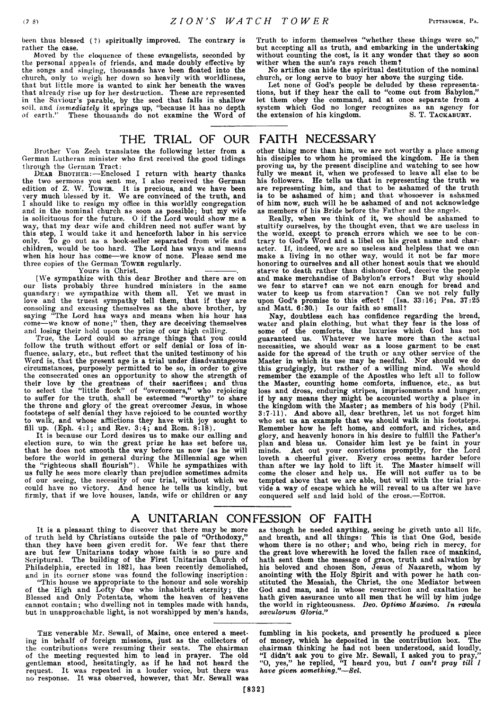**been thus blessed (?) spiritually improved. The contrary is rather the case.**

**Moved by the eloquence of these evangelists, seconded by the personal appeals of friends, and made doubly effective by the songs and singing, thousands have been floated into the church, only to weigh her down so heavily with worldliness, that but little more is wanted to sink her beneath the waves that already rise up for her destruction. These are represented in the Saviour's parable, by the seed that falls in shallow soil, and** *immediately* **it springs up, "because it has no depth of earth." These thousands do not examine the Word of**

**Truth to inform themselves "whether these things were so," but accepting all as truth, and embarking in the undertaking without counting the cost, is it any wonder that they so soon wither when the sun's rays reach them?**

**No artifice can hide the spiritual destitution of the nominal church, or long serve to buoy her above the surging tide.**

**Let none of God's people be deluded by these representations, but if they hear the call to "come out from Babylon," let them obey the command, and at once separate from a system which God no longer recognizes as an agency for** the extension of his kingdom. S. T. TACKABURY.

# THE TRIAL OF OUR FAITH NECESSARY

**Brother Von Zech translates the following letter from a German Lutheran minister who first received the good tidings through the German Tract:**

**D ear Brother:—Enclosed I return with hearty thanks the two sermons you sent me, I also received the German edition of Z. W. Tower. It is precious, and we have been very much blessed by it. We are convinced of the truth, and I should like to resign my office in this worldly congregation and in the nominal church as soon as possible; but my wife is solicituous for the future. O if the Lord would show me a way, that my dear wife and children need not suffer want by this step, I would take it and henceforth labor in his service only. To go out as a book-seller separated from wife and children, would be too hard. The Lord has ways and means when his hour has come—we know of none. Please send me three copies of the German Tower regularly.**

Yours in Christ.

**[We sympathize with this dear Brother and there are on our lists probably three hundred ministers in the same quandary: we sympathize with them all. Yet we must in love and the truest sympathy tell them, that if they are consoling and excusing themselves as the above brother, by saying "The Lord has ways and means when his hour has come—we know of none;" then, they are deceiving themselves and losing their hold upon the prize of our high calling.**

**True, the Lord could so arrange things that you could follow the truth without effort or self denial or loss of influence, salary, etc., but reflect that the united testimony of his Word is, that the present age is a trial under disadvantageous circumstances, purposely permitted to be so, in order to give the consecrated ones an opportunity to show the strength of their love by the greatness of their sacrifices; and thus to select the "little flock" of "overcomers," who rejoicing to suffer for the truth, shall be esteemed "worthy" to share the throne and glory of the great overcomer Jesus, in whose footsteps of self denial they have rejoiced to be counted worthy to walk, and whose afflictions they have with joy sought to fill up. (Eph. 4:1; and Rev. 3:4; and Rom. 8:18).**

**It is because our Lord desires us to make our calling and election sure, to win the great prize he has set before us, that he does not smooth the way before us now (as he will before the world in general during the Millennial age when the "righteous shall flourish" ). While he sympathizes with us fully he sees more clearly than prejudice sometimes admits of our seeing, the necessity of our trial, without which we could have no victory. And hence he tells us kindly, but firmly, that if we love houses, lands, wife or children or any**

**other thing more than him, we are not worthy a place among his disciples to whom he promised the kingdom. He is then proving us, by the present discipline and watching to see how fully we meant it, when we professed to leave all else to be his followers. He tells us that in representing the truth we are representing him, and that to be ashamed of the truth is to be ashamed of him; and that whosoever is ashamed of him now, such will he be ashamed of and not acknowledge as members of his Bride before the Father and the angels.**

**Really, when we think of it, we should be ashamed to stultify ourselves, by the thought even, that we are useless in the world, except to preach errors which we see to be contrary to God's Word and a libel on his great name and character. If, indeed, we are so useless and helpless that we can make a living in no other way, would it not be far more honoring to ourselves and all other honest souls that we should starve to death rather than dishonor God, deceive the people and make merchandise of Babylon's errors? But why should we fear to starve? can we not earn enough for bread and water to keep us from starvation? Can we not rely fully upon God's promise to this effect? (Isa. 33:16; Psa. 37:25 and Matt. 6:30.) Is our faith so small?**

**Nay, doubtless each has confidence regarding the bread, water and plain clothing, but what they fear is the loss of some of the comforts, the luxuries which God has not guaranteed us. Whatever we have more than the actual necessities, we should wear as a loose garment to be cast aside for the spread of the truth or any other service of the Master in which its use may be needful. Nor should we do this grudgingly, but rather of a willing mind. We should remember the example of the Apostles who left all to follow the Master, counting home comforts, influence, etc., as but loss and dross, enduring stripes, imprisonments and hunger, if by any means they might be accounted worthy a place in the kingdom with the Master; as members of his body (Phil. 3:7-11). And above all, dear brethren, let us not forget him who set us an example that we should walk in his footsteps. Remember how he left home, and comfort, and riches, and glory, and heavenly honors in his desire to fulfill the Father's plan and bless us. Consider him lest ye be faint in your minds. Act out your convictions promptly, for the Lord loveth a cheerful giver. Every cross seems harder before than after we lay hold to lift it. The Master himself will come the closer and help us. He will not suffer us to be tempted above that we are able, but will with the trial provide a way of escape which he will reveal to us after we have conquered self and laid hold of the cross.—**Editor.

## A UNITARIAN CONFESSION OF FAITH

**It is a pleasant thing to discover that there may be more of truth held by Christians outside the pale of "Orthodoxy," than they have been given credit for. We fear that there are but few Unitarians today whose faith is so pure and Scriptural. The building of the First Unitarian Church of Philadelphia, erected in 1821, has been recently demolished, and in its corner stone was found the following inscription:**

**"This house we appropriate to the honour and sole worship of the High and Lofty One who inhabiteth eternity; the Blessed and Only Potentate, whom the heaven of heavens cannot contain; who dwelling not in temples made with hands, but in unapproachable light, is not worshipped by men's hands,**

The **venerable** Mr. **Sewall, of Maine, once entered a meeting in behalf of foreign missions, just as the collectors of the contributions were resuming their seats. The chairman of the meeting requested him to lead in prayer. The old gentleman stood, hesitatingly, as if he had not heard the request. It was repeated in a louder voice, but there was no response. It was observed, however, that Mr. Sewall was** **fumbling in his pockets, and presently he produced a piece of money, which he deposited in the contribution box. The chairman thinking he had not been understood, said loudly, "I didn't ask you to give Mr. Sewall, I asked you to pray," "O, yes," he replied, "I heard you, but** *I can't pray till I have given something."***—***Sel.*

**as though he needed anything, seeing he giveth unto all life, and breath, and all things: This is that One God, beside whom there is no other; and who, being rich in mercy, for the great love wherewith he loved the fallen race of mankind, hath sent them the message of grace, truth and salvation by his beloved and chosen Son, Jesus of Nazareth, whom by anointing with the Holy Spirit and with power he hath constituted the Messiah, the Christ, the one Mediator between God and man, and in whose resurrection and exaltation he hath given assurance unto all men that he will by him judge the world in righteousness.** *Deo. Optimo Maximo. In reeoula*

*sceculorum Gloria."*